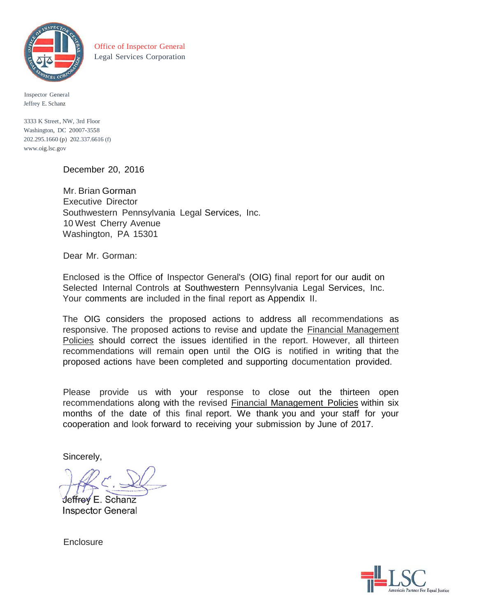

Office of Inspector General Legal Services Corporation

Inspector General Jeffrey E. Schanz

3333 K Street, NW, 3rd Floor Washington, DC 20007-3558 202.295.1660 (p) 202.337.6616 (f) [www.oig.lsc.gov](http://www.oig.lsc.gov/)

December 20, 2016

Mr. Brian Gorman Executive Director Southwestern Pennsylvania Legal Services, Inc. 10 West Cherry Avenue Washington, PA 15301

Dear Mr. Gorman:

Enclosed is the Office of Inspector General's (OIG) final report for our audit on Selected Internal Controls at Southwestern Pennsylvania Legal Services, Inc. Your comments are included in the final report as Appendix II.

The OIG considers the proposed actions to address all recommendations as responsive. The proposed actions to revise and update the Financial Management Policies should correct the issues identified in the report. However, all thirteen recommendations will remain open until the OIG is notified in writing that the proposed actions have been completed and supporting documentation provided.

Please provide us with your response to close out the thirteen open recommendations along with the revised Financial Management Policies within six months of the date of this final report. We thank you and your staff for your cooperation and look forward to receiving your submission by June of 2017.

Sincerely,

Jeffrey E. Schanz **Inspector General** 

**Enclosure** 

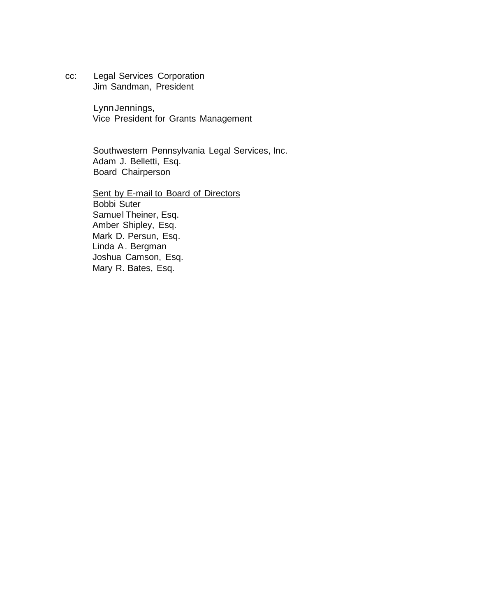cc: Legal Services Corporation Jim Sandman, President

> LynnJennings, Vice President for Grants Management

Southwestern Pennsylvania Legal Services, Inc. Adam J. Belletti, Esq. Board Chairperson

Sent by E-mail to Board of Directors Bobbi Suter Samuel Theiner, Esq. Amber Shipley, Esq. Mark D. Persun, Esq. Linda A. Bergman Joshua Camson, Esq. Mary R. Bates, Esq.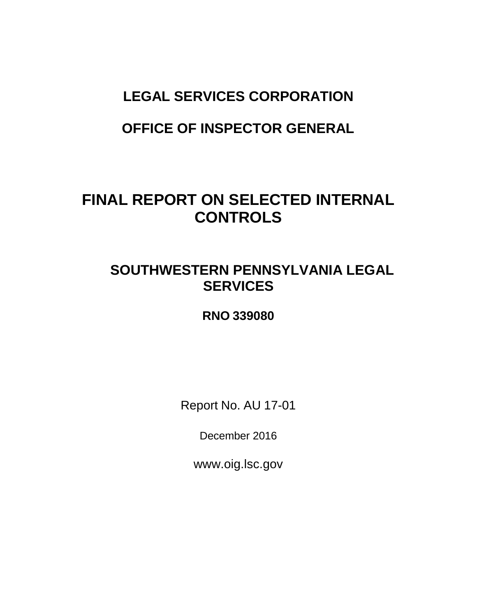# **LEGAL SERVICES CORPORATION**

# **OFFICE OF INSPECTOR GENERAL**

# **FINAL REPORT ON SELECTED INTERNAL CONTROLS**

# **SOUTHWESTERN PENNSYLVANIA LEGAL SERVICES**

# **RNO 339080**

Report No. AU 17-01

December 2016

[www.oig.lsc.gov](http://www.oig.lsc.gov/)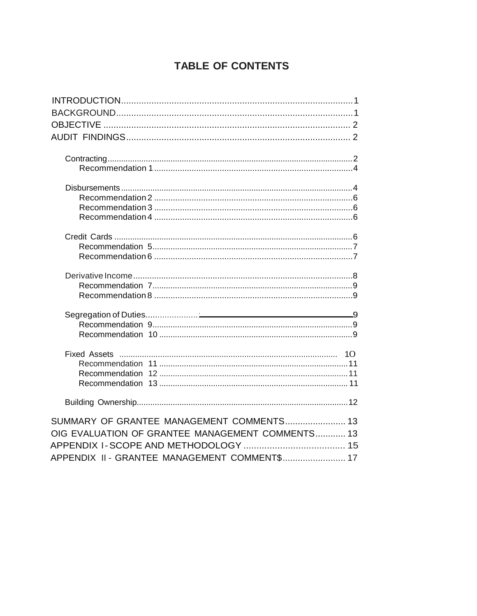# **TABLE OF CONTENTS**

| SUMMARY OF GRANTEE MANAGEMENT COMMENTS 13        |
|--------------------------------------------------|
| OIG EVALUATION OF GRANTEE MANAGEMENT COMMENTS 13 |
|                                                  |
| APPENDIX II - GRANTEE MANAGEMENT COMMENT\$ 17    |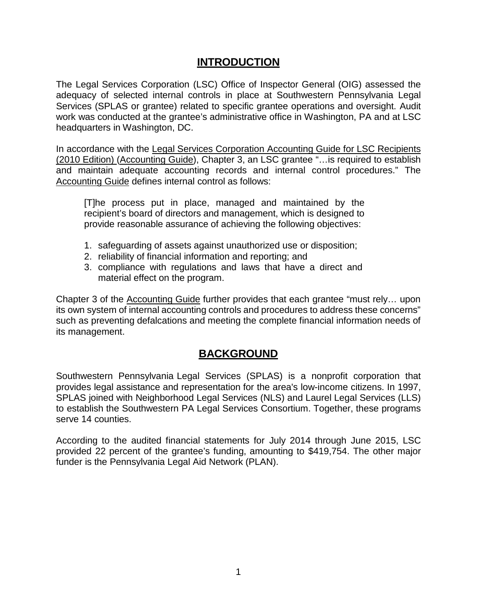## **INTRODUCTION**

<span id="page-4-0"></span>The Legal Services Corporation (LSC) Office of Inspector General (OIG) assessed the adequacy of selected internal controls in place at Southwestern Pennsylvania Legal Services (SPLAS or grantee) related to specific grantee operations and oversight. Audit work was conducted at the grantee's administrative office in Washington, PA and at LSC headquarters in Washington, DC.

In accordance with the Legal Services Corporation Accounting Guide for LSC Recipients (2010 Edition) (Accounting Guide), Chapter 3, an LSC grantee "…is required to establish and maintain adequate accounting records and internal control procedures." The Accounting Guide defines internal control as follows:

[T]he process put in place, managed and maintained by the recipient's board of directors and management, which is designed to provide reasonable assurance of achieving the following objectives:

- 1. safeguarding of assets against unauthorized use or disposition;
- 2. reliability of financial information and reporting; and
- 3. compliance with regulations and laws that have a direct and material effect on the program.

Chapter 3 of the Accounting Guide further provides that each grantee "must rely… upon its own system of internal accounting controls and procedures to address these concerns" such as preventing defalcations and meeting the complete financial information needs of its management.

## **BACKGROUND**

<span id="page-4-1"></span>Southwestern Pennsylvania Legal Services (SPLAS) is a nonprofit corporation that provides legal assistance and representation for the area's low-income citizens. In 1997, SPLAS joined with Neighborhood Legal Services (NLS) and Laurel Legal Services (LLS) to establish the Southwestern PA Legal Services Consortium. Together, these programs serve 14 counties.

According to the audited financial statements for July 2014 through June 2015, LSC provided 22 percent of the grantee's funding, amounting to \$419,754. The other major funder is the Pennsylvania Legal Aid Network (PLAN).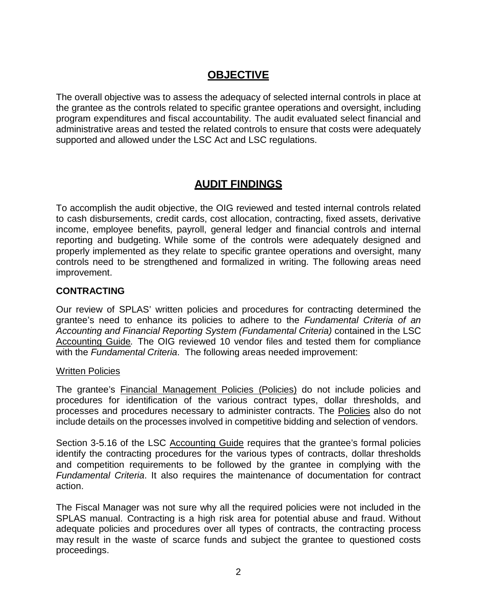# **OBJECTIVE**

<span id="page-5-0"></span>The overall objective was to assess the adequacy of selected internal controls in place at the grantee as the controls related to specific grantee operations and oversight, including program expenditures and fiscal accountability. The audit evaluated select financial and administrative areas and tested the related controls to ensure that costs were adequately supported and allowed under the LSC Act and LSC regulations.

# **AUDIT FINDINGS**

<span id="page-5-1"></span>To accomplish the audit objective, the OIG reviewed and tested internal controls related to cash disbursements, credit cards, cost allocation, contracting, fixed assets, derivative income, employee benefits, payroll, general ledger and financial controls and internal reporting and budgeting. While some of the controls were adequately designed and properly implemented as they relate to specific grantee operations and oversight, many controls need to be strengthened and formalized in writing. The following areas need improvement.

#### <span id="page-5-2"></span>**CONTRACTING**

Our review of SPLAS' written policies and procedures for contracting determined the grantee's need to enhance its policies to adhere to the *Fundamental Criteria of an Accounting and Financial Reporting System (Fundamental Criteria)* contained in the LSC Accounting Guide*.* The OIG reviewed 10 vendor files and tested them for compliance with the *Fundamental Criteria*. The following areas needed improvement:

#### Written Policies

The grantee's Financial Management Policies (Policies) do not include policies and procedures for identification of the various contract types, dollar thresholds, and processes and procedures necessary to administer contracts. The Policies also do not include details on the processes involved in competitive bidding and selection of vendors.

Section 3-5.16 of the LSC Accounting Guide requires that the grantee's formal policies identify the contracting procedures for the various types of contracts, dollar thresholds and competition requirements to be followed by the grantee in complying with the *Fundamental Criteria*. It also requires the maintenance of documentation for contract action.

The Fiscal Manager was not sure why all the required policies were not included in the SPLAS manual. Contracting is a high risk area for potential abuse and fraud. Without adequate policies and procedures over all types of contracts, the contracting process may result in the waste of scarce funds and subject the grantee to questioned costs proceedings.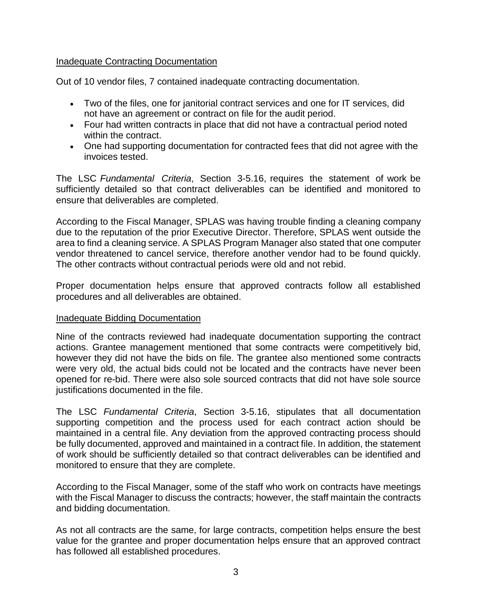#### Inadequate Contracting Documentation

Out of 10 vendor files, 7 contained inadequate contracting documentation.

- Two of the files, one for janitorial contract services and one for IT services, did not have an agreement or contract on file for the audit period.
- Four had written contracts in place that did not have a contractual period noted within the contract.
- One had supporting documentation for contracted fees that did not agree with the invoices tested.

The LSC *Fundamental Criteria*, Section 3-5.16, requires the statement of work be sufficiently detailed so that contract deliverables can be identified and monitored to ensure that deliverables are completed.

According to the Fiscal Manager, SPLAS was having trouble finding a cleaning company due to the reputation of the prior Executive Director. Therefore, SPLAS went outside the area to find a cleaning service. A SPLAS Program Manager also stated that one computer vendor threatened to cancel service, therefore another vendor had to be found quickly. The other contracts without contractual periods were old and not rebid.

Proper documentation helps ensure that approved contracts follow all established procedures and all deliverables are obtained.

#### Inadequate Bidding Documentation

Nine of the contracts reviewed had inadequate documentation supporting the contract actions. Grantee management mentioned that some contracts were competitively bid, however they did not have the bids on file. The grantee also mentioned some contracts were very old, the actual bids could not be located and the contracts have never been opened for re-bid. There were also sole sourced contracts that did not have sole source justifications documented in the file.

The LSC *Fundamental Criteria*, Section 3-5.16, stipulates that all documentation supporting competition and the process used for each contract action should be maintained in a central file. Any deviation from the approved contracting process should be fully documented, approved and maintained in a contract file. In addition, the statement of work should be sufficiently detailed so that contract deliverables can be identified and monitored to ensure that they are complete.

According to the Fiscal Manager, some of the staff who work on contracts have meetings with the Fiscal Manager to discuss the contracts; however, the staff maintain the contracts and bidding documentation.

As not all contracts are the same, for large contracts, competition helps ensure the best value for the grantee and proper documentation helps ensure that an approved contract has followed all established procedures.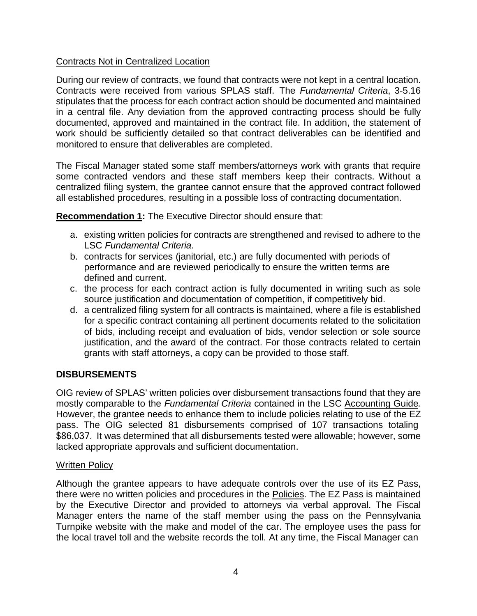#### Contracts Not in Centralized Location

During our review of contracts, we found that contracts were not kept in a central location. Contracts were received from various SPLAS staff. The *Fundamental Criteria*, 3-5.16 stipulates that the process for each contract action should be documented and maintained in a central file. Any deviation from the approved contracting process should be fully documented, approved and maintained in the contract file. In addition, the statement of work should be sufficiently detailed so that contract deliverables can be identified and monitored to ensure that deliverables are completed.

The Fiscal Manager stated some staff members/attorneys work with grants that require some contracted vendors and these staff members keep their contracts. Without a centralized filing system, the grantee cannot ensure that the approved contract followed all established procedures, resulting in a possible loss of contracting documentation.

**Recommendation 1:** The Executive Director should ensure that:

- a. existing written policies for contracts are strengthened and revised to adhere to the LSC *Fundamental Criteria*.
- b. contracts for services (janitorial, etc.) are fully documented with periods of performance and are reviewed periodically to ensure the written terms are defined and current.
- c. the process for each contract action is fully documented in writing such as sole source justification and documentation of competition, if competitively bid.
- d. a centralized filing system for all contracts is maintained, where a file is established for a specific contract containing all pertinent documents related to the solicitation of bids, including receipt and evaluation of bids, vendor selection or sole source justification, and the award of the contract. For those contracts related to certain grants with staff attorneys, a copy can be provided to those staff.

#### <span id="page-7-0"></span>**DISBURSEMENTS**

OIG review of SPLAS' written policies over disbursement transactions found that they are mostly comparable to the *Fundamental Criteria* contained in the LSC Accounting Guide*.* However, the grantee needs to enhance them to include policies relating to use of the EZ pass. The OIG selected 81 disbursements comprised of 107 transactions totaling \$86,037. It was determined that all disbursements tested were allowable; however, some lacked appropriate approvals and sufficient documentation.

#### Written Policy

Although the grantee appears to have adequate controls over the use of its EZ Pass, there were no written policies and procedures in the Policies. The EZ Pass is maintained by the Executive Director and provided to attorneys via verbal approval. The Fiscal Manager enters the name of the staff member using the pass on the Pennsylvania Turnpike website with the make and model of the car. The employee uses the pass for the local travel toll and the website records the toll. At any time, the Fiscal Manager can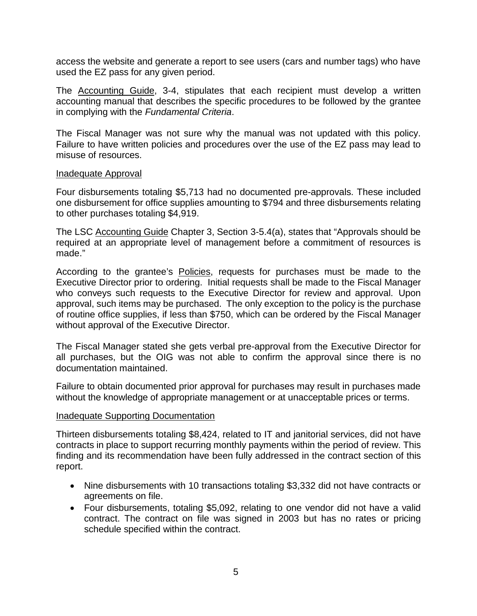access the website and generate a report to see users (cars and number tags) who have used the EZ pass for any given period.

The Accounting Guide, 3-4, stipulates that each recipient must develop a written accounting manual that describes the specific procedures to be followed by the grantee in complying with the *Fundamental Criteria*.

The Fiscal Manager was not sure why the manual was not updated with this policy. Failure to have written policies and procedures over the use of the EZ pass may lead to misuse of resources.

#### Inadequate Approval

Four disbursements totaling \$5,713 had no documented pre-approvals. These included one disbursement for office supplies amounting to \$794 and three disbursements relating to other purchases totaling \$4,919.

The LSC Accounting Guide Chapter 3, Section 3-5.4(a), states that "Approvals should be required at an appropriate level of management before a commitment of resources is made."

According to the grantee's Policies, requests for purchases must be made to the Executive Director prior to ordering. Initial requests shall be made to the Fiscal Manager who conveys such requests to the Executive Director for review and approval. Upon approval, such items may be purchased. The only exception to the policy is the purchase of routine office supplies, if less than \$750, which can be ordered by the Fiscal Manager without approval of the Executive Director.

The Fiscal Manager stated she gets verbal pre-approval from the Executive Director for all purchases, but the OIG was not able to confirm the approval since there is no documentation maintained.

Failure to obtain documented prior approval for purchases may result in purchases made without the knowledge of appropriate management or at unacceptable prices or terms.

#### Inadequate Supporting Documentation

Thirteen disbursements totaling \$8,424, related to IT and janitorial services, did not have contracts in place to support recurring monthly payments within the period of review. This finding and its recommendation have been fully addressed in the contract section of this report.

- Nine disbursements with 10 transactions totaling \$3,332 did not have contracts or agreements on file.
- Four disbursements, totaling \$5,092, relating to one vendor did not have a valid contract. The contract on file was signed in 2003 but has no rates or pricing schedule specified within the contract.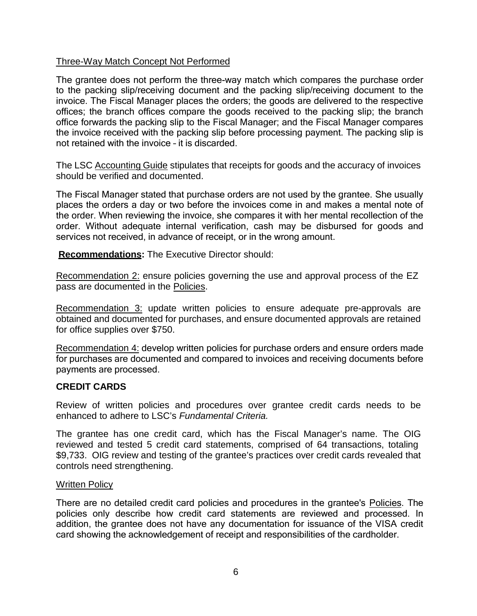#### Three-Way Match Concept Not Performed

The grantee does not perform the three-way match which compares the purchase order to the packing slip/receiving document and the packing slip/receiving document to the invoice. The Fiscal Manager places the orders; the goods are delivered to the respective offices; the branch offices compare the goods received to the packing slip; the branch office forwards the packing slip to the Fiscal Manager; and the Fiscal Manager compares the invoice received with the packing slip before processing payment. The packing slip is not retained with the invoice – it is discarded.

The LSC Accounting Guide stipulates that receipts for goods and the accuracy of invoices should be verified and documented.

The Fiscal Manager stated that purchase orders are not used by the grantee. She usually places the orders a day or two before the invoices come in and makes a mental note of the order. When reviewing the invoice, she compares it with her mental recollection of the order. Without adequate internal verification, cash may be disbursed for goods and services not received, in advance of receipt, or in the wrong amount.

**Recommendations:** The Executive Director should:

Recommendation 2: ensure policies governing the use and approval process of the EZ pass are documented in the Policies.

Recommendation 3: update written policies to ensure adequate pre-approvals are obtained and documented for purchases, and ensure documented approvals are retained for office supplies over \$750.

Recommendation 4: develop written policies for purchase orders and ensure orders made for purchases are documented and compared to invoices and receiving documents before payments are processed.

#### <span id="page-9-0"></span>**CREDIT CARDS**

Review of written policies and procedures over grantee credit cards needs to be enhanced to adhere to LSC's *Fundamental Criteria.*

The grantee has one credit card, which has the Fiscal Manager's name. The OIG reviewed and tested 5 credit card statements, comprised of 64 transactions, totaling \$9,733. OIG review and testing of the grantee's practices over credit cards revealed that controls need strengthening.

#### Written Policy

There are no detailed credit card policies and procedures in the grantee's Policies. The policies only describe how credit card statements are reviewed and processed. In addition, the grantee does not have any documentation for issuance of the VISA credit card showing the acknowledgement of receipt and responsibilities of the cardholder.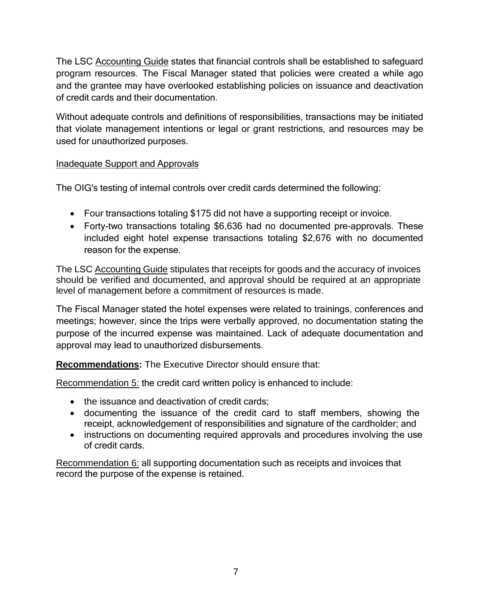The LSC Accounting Guide states that financial controls shall be established to safeguard program resources. The Fiscal Manager stated that policies were created a while ago and the grantee may have overlooked establishing policies on issuance and deactivation of credit cards and their documentation.

Without adequate controls and definitions of responsibilities, transactions may be initiated that violate management intentions or legal or grant restrictions, and resources may be used for unauthorized purposes.

#### Inadequate Support and Approvals

The OIG's testing of internal controls over credit cards determined the following:

- Four transactions totaling \$175 did not have a supporting receipt or invoice.
- Forty-two transactions totaling \$6,636 had no documented pre-approvals. These included eight hotel expense transactions totaling \$2,676 with no documented reason for the expense.

The LSC Accounting Guide stipulates that receipts for goods and the accuracy of invoices should be verified and documented, and approval should be required at an appropriate level of management before a commitment of resources is made.

The Fiscal Manager stated the hotel expenses were related to trainings, conferences and meetings; however, since the trips were verbally approved, no documentation stating the purpose of the incurred expense was maintained. Lack of adequate documentation and approval may lead to unauthorized disbursements.

**Recommendations:** The Executive Director should ensure that:

Recommendation 5: the credit card written policy is enhanced to include:

- the issuance and deactivation of credit cards;
- documenting the issuance of the credit card to staff members, showing the receipt, acknowledgement of responsibilities and signature of the cardholder; and
- instructions on documenting required approvals and procedures involving the use of credit cards.

Recommendation 6: all supporting documentation such as receipts and invoices that record the purpose of the expense is retained.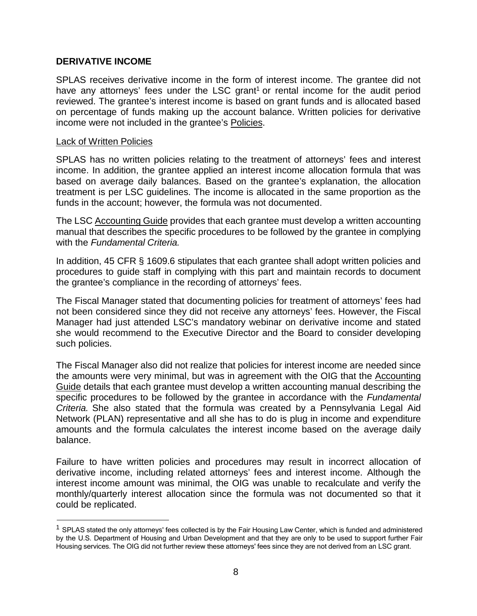#### <span id="page-11-0"></span>**DERIVATIVE INCOME**

SPLAS receives derivative income in the form of interest income. The grantee did not have any attorneys' fees under the LSC grant<sup>1</sup> or rental income for the audit period reviewed. The grantee's interest income is based on grant funds and is allocated based on percentage of funds making up the account balance. Written policies for derivative income were not included in the grantee's Policies.

#### Lack of Written Policies

SPLAS has no written policies relating to the treatment of attorneys' fees and interest income. In addition, the grantee applied an interest income allocation formula that was based on average daily balances. Based on the grantee's explanation, the allocation treatment is per LSC guidelines. The income is allocated in the same proportion as the funds in the account; however, the formula was not documented.

The LSC Accounting Guide provides that each grantee must develop a written accounting manual that describes the specific procedures to be followed by the grantee in complying with the *Fundamental Criteria.*

In addition, 45 CFR § 1609.6 stipulates that each grantee shall adopt written policies and procedures to guide staff in complying with this part and maintain records to document the grantee's compliance in the recording of attorneys' fees.

The Fiscal Manager stated that documenting policies for treatment of attorneys' fees had not been considered since they did not receive any attorneys' fees. However, the Fiscal Manager had just attended LSC's mandatory webinar on derivative income and stated she would recommend to the Executive Director and the Board to consider developing such policies.

The Fiscal Manager also did not realize that policies for interest income are needed since the amounts were very minimal, but was in agreement with the OIG that the Accounting Guide details that each grantee must develop a written accounting manual describing the specific procedures to be followed by the grantee in accordance with the *Fundamental Criteria.* She also stated that the formula was created by a Pennsylvania Legal Aid Network (PLAN) representative and all she has to do is plug in income and expenditure amounts and the formula calculates the interest income based on the average daily balance.

Failure to have written policies and procedures may result in incorrect allocation of derivative income, including related attorneys' fees and interest income. Although the interest income amount was minimal, the OIG was unable to recalculate and verify the monthly/quarterly interest allocation since the formula was not documented so that it could be replicated.

 $1$  SPLAS stated the only attorneys' fees collected is by the Fair Housing Law Center, which is funded and administered by the U.S. Department of Housing and Urban Development and that they are only to be used to support further Fair Housing services. The OIG did not further review these attorneys' fees since they are not derived from an LSC grant.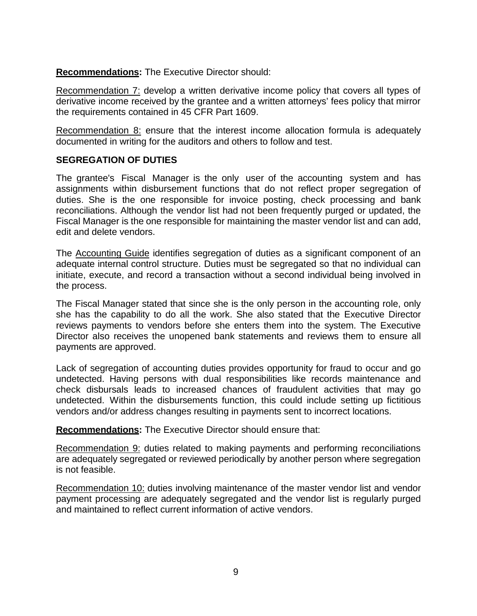**Recommendations:** The Executive Director should:

Recommendation 7: develop a written derivative income policy that covers all types of derivative income received by the grantee and a written attorneys' fees policy that mirror the requirements contained in 45 CFR Part 1609.

Recommendation 8: ensure that the interest income allocation formula is adequately documented in writing for the auditors and others to follow and test.

#### <span id="page-12-0"></span>**SEGREGATION OF DUTIES**

The grantee's Fiscal Manager is the only user of the accounting system and has assignments within disbursement functions that do not reflect proper segregation of duties. She is the one responsible for invoice posting, check processing and bank reconciliations. Although the vendor list had not been frequently purged or updated, the Fiscal Manager is the one responsible for maintaining the master vendor list and can add, edit and delete vendors.

The Accounting Guide identifies segregation of duties as a significant component of an adequate internal control structure. Duties must be segregated so that no individual can initiate, execute, and record a transaction without a second individual being involved in the process.

The Fiscal Manager stated that since she is the only person in the accounting role, only she has the capability to do all the work. She also stated that the Executive Director reviews payments to vendors before she enters them into the system. The Executive Director also receives the unopened bank statements and reviews them to ensure all payments are approved.

Lack of segregation of accounting duties provides opportunity for fraud to occur and go undetected. Having persons with dual responsibilities like records maintenance and check disbursals leads to increased chances of fraudulent activities that may go undetected. Within the disbursements function, this could include setting up fictitious vendors and/or address changes resulting in payments sent to incorrect locations.

**Recommendations:** The Executive Director should ensure that:

Recommendation 9: duties related to making payments and performing reconciliations are adequately segregated or reviewed periodically by another person where segregation is not feasible.

Recommendation 10: duties involving maintenance of the master vendor list and vendor payment processing are adequately segregated and the vendor list is regularly purged and maintained to reflect current information of active vendors.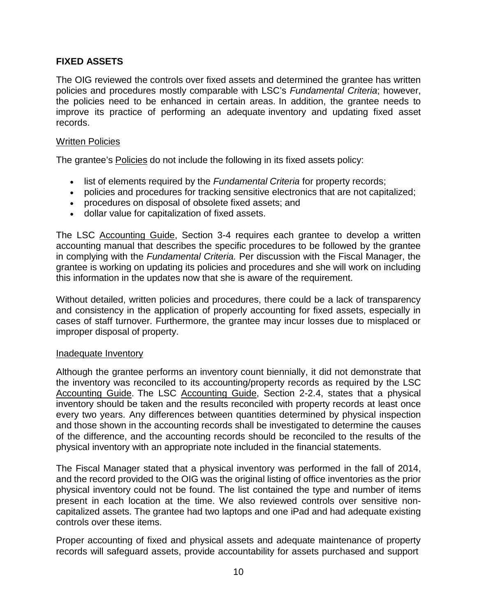#### **FIXED ASSETS**

The OIG reviewed the controls over fixed assets and determined the grantee has written policies and procedures mostly comparable with LSC's *Fundamental Criteria*; however, the policies need to be enhanced in certain areas. In addition, the grantee needs to improve its practice of performing an adequate inventory and updating fixed asset records.

#### Written Policies

The grantee's Policies do not include the following in its fixed assets policy:

- list of elements required by the *Fundamental Criteria* for property records;
- policies and procedures for tracking sensitive electronics that are not capitalized;
- procedures on disposal of obsolete fixed assets; and
- dollar value for capitalization of fixed assets.

The LSC Accounting Guide, Section 3-4 requires each grantee to develop a written accounting manual that describes the specific procedures to be followed by the grantee in complying with the *Fundamental Criteria.* Per discussion with the Fiscal Manager, the grantee is working on updating its policies and procedures and she will work on including this information in the updates now that she is aware of the requirement.

Without detailed, written policies and procedures, there could be a lack of transparency and consistency in the application of properly accounting for fixed assets, especially in cases of staff turnover. Furthermore, the grantee may incur losses due to misplaced or improper disposal of property.

#### Inadequate Inventory

Although the grantee performs an inventory count biennially, it did not demonstrate that the inventory was reconciled to its accounting/property records as required by the LSC Accounting Guide. The LSC Accounting Guide, Section 2-2.4, states that a physical inventory should be taken and the results reconciled with property records at least once every two years. Any differences between quantities determined by physical inspection and those shown in the accounting records shall be investigated to determine the causes of the difference, and the accounting records should be reconciled to the results of the physical inventory with an appropriate note included in the financial statements.

The Fiscal Manager stated that a physical inventory was performed in the fall of 2014, and the record provided to the OIG was the original listing of office inventories as the prior physical inventory could not be found. The list contained the type and number of items present in each location at the time. We also reviewed controls over sensitive noncapitalized assets. The grantee had two laptops and one iPad and had adequate existing controls over these items.

Proper accounting of fixed and physical assets and adequate maintenance of property records will safeguard assets, provide accountability for assets purchased and support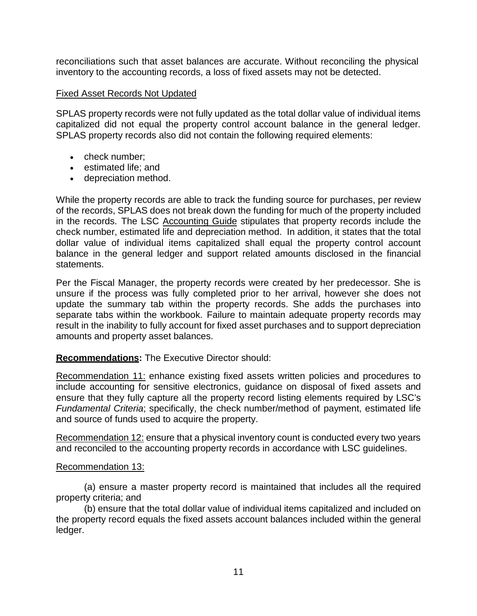reconciliations such that asset balances are accurate. Without reconciling the physical inventory to the accounting records, a loss of fixed assets may not be detected.

#### Fixed Asset Records Not Updated

SPLAS property records were not fully updated as the total dollar value of individual items capitalized did not equal the property control account balance in the general ledger. SPLAS property records also did not contain the following required elements:

- check number;
- estimated life; and
- depreciation method.

While the property records are able to track the funding source for purchases, per review of the records, SPLAS does not break down the funding for much of the property included in the records. The LSC Accounting Guide stipulates that property records include the check number, estimated life and depreciation method. In addition, it states that the total dollar value of individual items capitalized shall equal the property control account balance in the general ledger and support related amounts disclosed in the financial statements.

Per the Fiscal Manager, the property records were created by her predecessor. She is unsure if the process was fully completed prior to her arrival, however she does not update the summary tab within the property records. She adds the purchases into separate tabs within the workbook. Failure to maintain adequate property records may result in the inability to fully account for fixed asset purchases and to support depreciation amounts and property asset balances.

#### **Recommendations:** The Executive Director should:

Recommendation 11: enhance existing fixed assets written policies and procedures to include accounting for sensitive electronics, guidance on disposal of fixed assets and ensure that they fully capture all the property record listing elements required by LSC's *Fundamental Criteria*; specifically, the check number/method of payment, estimated life and source of funds used to acquire the property.

Recommendation 12: ensure that a physical inventory count is conducted every two years and reconciled to the accounting property records in accordance with LSC guidelines.

#### Recommendation 13:

(a) ensure a master property record is maintained that includes all the required property criteria; and

(b) ensure that the total dollar value of individual items capitalized and included on the property record equals the fixed assets account balances included within the general ledger.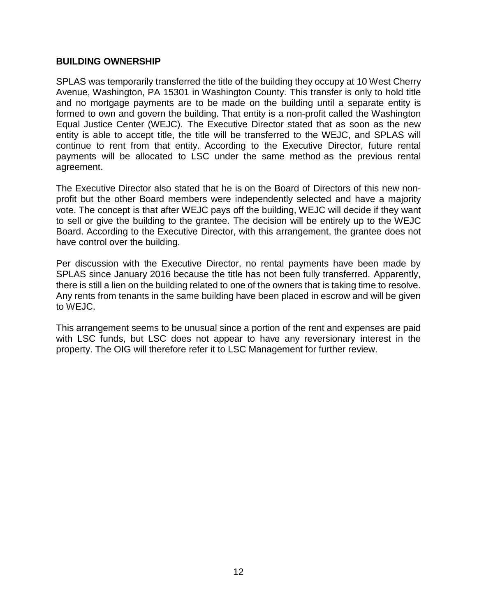#### <span id="page-15-0"></span>**BUILDING OWNERSHIP**

SPLAS was temporarily transferred the title of the building they occupy at 10 West Cherry Avenue, Washington, PA 15301 in Washington County. This transfer is only to hold title and no mortgage payments are to be made on the building until a separate entity is formed to own and govern the building. That entity is a non-profit called the Washington Equal Justice Center (WEJC). The Executive Director stated that as soon as the new entity is able to accept title, the title will be transferred to the WEJC, and SPLAS will continue to rent from that entity. According to the Executive Director, future rental payments will be allocated to LSC under the same method as the previous rental agreement.

The Executive Director also stated that he is on the Board of Directors of this new nonprofit but the other Board members were independently selected and have a majority vote. The concept is that after WEJC pays off the building, WEJC will decide if they want to sell or give the building to the grantee. The decision will be entirely up to the WEJC Board. According to the Executive Director, with this arrangement, the grantee does not have control over the building.

Per discussion with the Executive Director, no rental payments have been made by SPLAS since January 2016 because the title has not been fully transferred. Apparently, there is still a lien on the building related to one of the owners that is taking time to resolve. Any rents from tenants in the same building have been placed in escrow and will be given to WEJC.

This arrangement seems to be unusual since a portion of the rent and expenses are paid with LSC funds, but LSC does not appear to have any reversionary interest in the property. The OIG will therefore refer it to LSC Management for further review.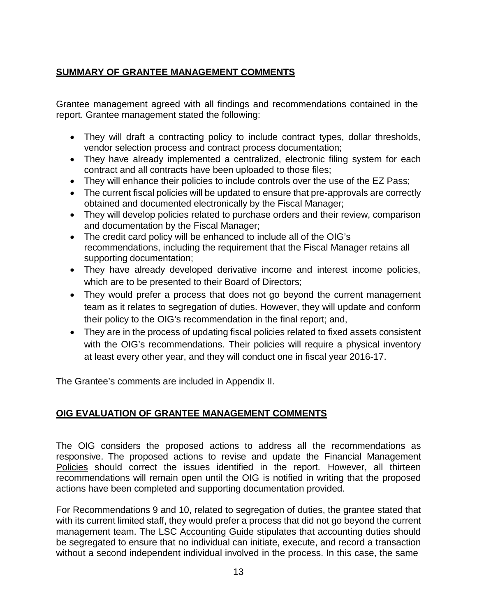## <span id="page-16-0"></span>**SUMMARY OF GRANTEE MANAGEMENT COMMENTS**

Grantee management agreed with all findings and recommendations contained in the report. Grantee management stated the following:

- They will draft a contracting policy to include contract types, dollar thresholds, vendor selection process and contract process documentation;
- They have already implemented a centralized, electronic filing system for each contract and all contracts have been uploaded to those files;
- They will enhance their policies to include controls over the use of the EZ Pass;
- The current fiscal policies will be updated to ensure that pre-approvals are correctly obtained and documented electronically by the Fiscal Manager;
- They will develop policies related to purchase orders and their review, comparison and documentation by the Fiscal Manager;
- The credit card policy will be enhanced to include all of the OIG's recommendations, including the requirement that the Fiscal Manager retains all supporting documentation;
- They have already developed derivative income and interest income policies, which are to be presented to their Board of Directors;
- They would prefer a process that does not go beyond the current management team as it relates to segregation of duties. However, they will update and conform their policy to the OIG's recommendation in the final report; and,
- They are in the process of updating fiscal policies related to fixed assets consistent with the OIG's recommendations. Their policies will require a physical inventory at least every other year, and they will conduct one in fiscal year 2016-17.

The Grantee's comments are included in Appendix II.

#### <span id="page-16-1"></span>**OIG EVALUATION OF GRANTEE MANAGEMENT COMMENTS**

The OIG considers the proposed actions to address all the recommendations as responsive. The proposed actions to revise and update the **Financial Management** Policies should correct the issues identified in the report. However, all thirteen recommendations will remain open until the OIG is notified in writing that the proposed actions have been completed and supporting documentation provided.

For Recommendations 9 and 10, related to segregation of duties, the grantee stated that with its current limited staff, they would prefer a process that did not go beyond the current management team. The LSC Accounting Guide stipulates that accounting duties should be segregated to ensure that no individual can initiate, execute, and record a transaction without a second independent individual involved in the process. In this case, the same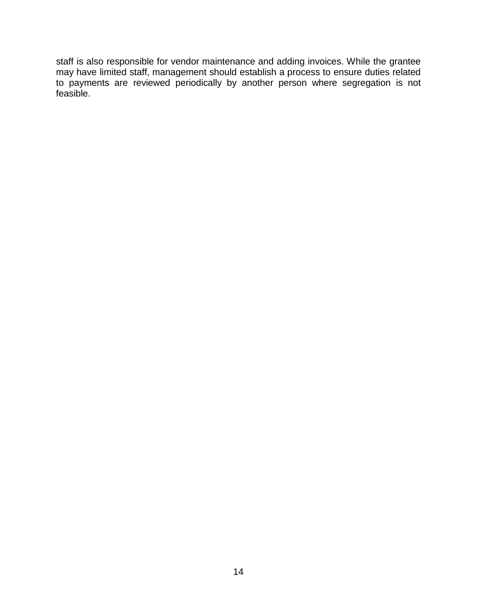staff is also responsible for vendor maintenance and adding invoices. While the grantee may have limited staff, management should establish a process to ensure duties related to payments are reviewed periodically by another person where segregation is not feasible.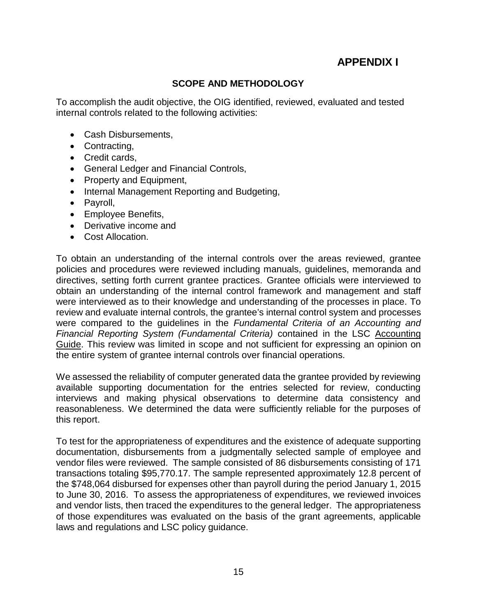# **APPENDIX I**

#### **SCOPE AND METHODOLOGY**

To accomplish the audit objective, the OIG identified, reviewed, evaluated and tested internal controls related to the following activities:

- Cash Disbursements,
- Contracting,
- Credit cards,
- General Ledger and Financial Controls,
- Property and Equipment,
- Internal Management Reporting and Budgeting,
- Payroll,
- Employee Benefits,
- Derivative income and
- Cost Allocation.

To obtain an understanding of the internal controls over the areas reviewed, grantee policies and procedures were reviewed including manuals, guidelines, memoranda and directives, setting forth current grantee practices. Grantee officials were interviewed to obtain an understanding of the internal control framework and management and staff were interviewed as to their knowledge and understanding of the processes in place. To review and evaluate internal controls, the grantee's internal control system and processes were compared to the guidelines in the *Fundamental Criteria of an Accounting and Financial Reporting System (Fundamental Criteria)* contained in the LSC Accounting Guide. This review was limited in scope and not sufficient for expressing an opinion on the entire system of grantee internal controls over financial operations.

We assessed the reliability of computer generated data the grantee provided by reviewing available supporting documentation for the entries selected for review, conducting interviews and making physical observations to determine data consistency and reasonableness. We determined the data were sufficiently reliable for the purposes of this report.

To test for the appropriateness of expenditures and the existence of adequate supporting documentation, disbursements from a judgmentally selected sample of employee and vendor files were reviewed. The sample consisted of 86 disbursements consisting of 171 transactions totaling \$95,770.17. The sample represented approximately 12.8 percent of the \$748,064 disbursed for expenses other than payroll during the period January 1, 2015 to June 30, 2016. To assess the appropriateness of expenditures, we reviewed invoices and vendor lists, then traced the expenditures to the general ledger. The appropriateness of those expenditures was evaluated on the basis of the grant agreements, applicable laws and regulations and LSC policy guidance.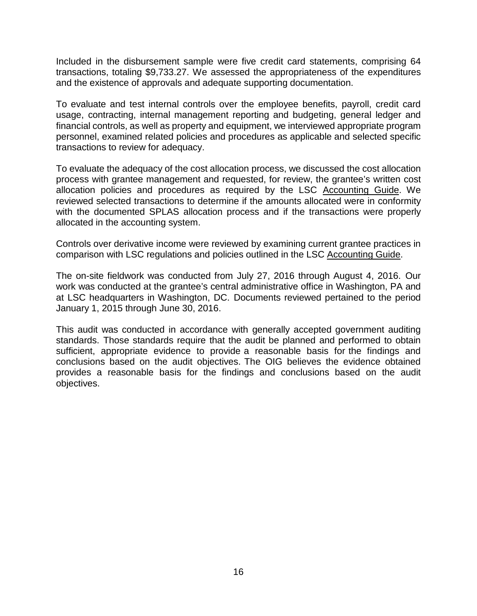Included in the disbursement sample were five credit card statements, comprising 64 transactions, totaling \$9,733.27. We assessed the appropriateness of the expenditures and the existence of approvals and adequate supporting documentation.

To evaluate and test internal controls over the employee benefits, payroll, credit card usage, contracting, internal management reporting and budgeting, general ledger and financial controls, as well as property and equipment, we interviewed appropriate program personnel, examined related policies and procedures as applicable and selected specific transactions to review for adequacy.

To evaluate the adequacy of the cost allocation process, we discussed the cost allocation process with grantee management and requested, for review, the grantee's written cost allocation policies and procedures as required by the LSC Accounting Guide. We reviewed selected transactions to determine if the amounts allocated were in conformity with the documented SPLAS allocation process and if the transactions were properly allocated in the accounting system.

Controls over derivative income were reviewed by examining current grantee practices in comparison with LSC regulations and policies outlined in the LSC Accounting Guide.

The on-site fieldwork was conducted from July 27, 2016 through August 4, 2016. Our work was conducted at the grantee's central administrative office in Washington, PA and at LSC headquarters in Washington, DC. Documents reviewed pertained to the period January 1, 2015 through June 30, 2016.

This audit was conducted in accordance with generally accepted government auditing standards. Those standards require that the audit be planned and performed to obtain sufficient, appropriate evidence to provide a reasonable basis for the findings and conclusions based on the audit objectives. The OIG believes the evidence obtained provides a reasonable basis for the findings and conclusions based on the audit objectives.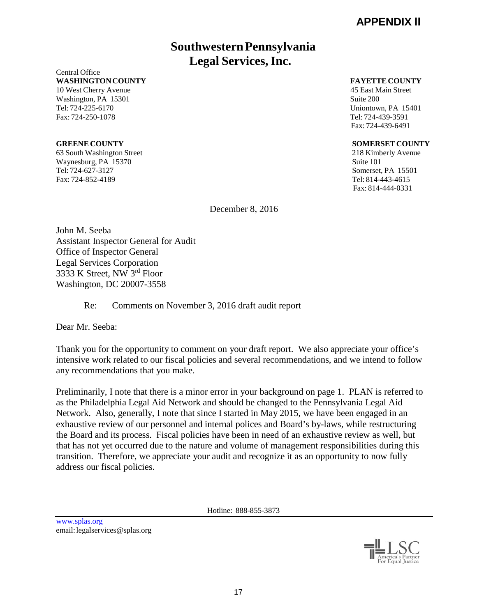# **SouthwesternPennsylvania Legal Services, Inc.**

Central Office **WASHINGTONCOUNTY FAYETTE COUNTY**

Washington, PA 15301 Suite 200 Tel: 724-225-6170 Uniontown, PA 15401 Fax: 724-250-1078 Tel: 724-439-3591

63 South Washington Street 218 Kimberly Avenue Waynesburg, PA 15370 Suite 101 Tel: 724-627-3127 Somerset, PA 15501 Fax: 724-852-4189 Tel: 814-443-4615

10 West Cherry Avenue 45 East Main Street Fax: 724-439-6491

#### **GREENE COUNTY SOMERSET COUNTY**

Fax: 814-444-0331

December 8, 2016

John M. Seeba Assistant Inspector General for Audit Office of Inspector General Legal Services Corporation 3333 K Street, NW 3rd Floor Washington, DC 20007-3558

#### Re: Comments on November 3, 2016 draft audit report

Dear Mr. Seeba:

Thank you for the opportunity to comment on your draft report. We also appreciate your office's intensive work related to our fiscal policies and several recommendations, and we intend to follow any recommendations that you make.

Preliminarily, I note that there is a minor error in your background on page 1. PLAN is referred to as the Philadelphia Legal Aid Network and should be changed to the Pennsylvania Legal Aid Network. Also, generally, I note that since I started in May 2015, we have been engaged in an exhaustive review of our personnel and internal polices and Board's by-laws, while restructuring the Board and its process. Fiscal policies have been in need of an exhaustive review as well, but that has not yet occurred due to the nature and volume of management responsibilities during this transition. Therefore, we appreciate your audit and recognize it as an opportunity to now fully address our fiscal policies.

Hotline: 888-855-3873

[www.splas.org](http://www.splas.org/) email: legalservices@splas.org

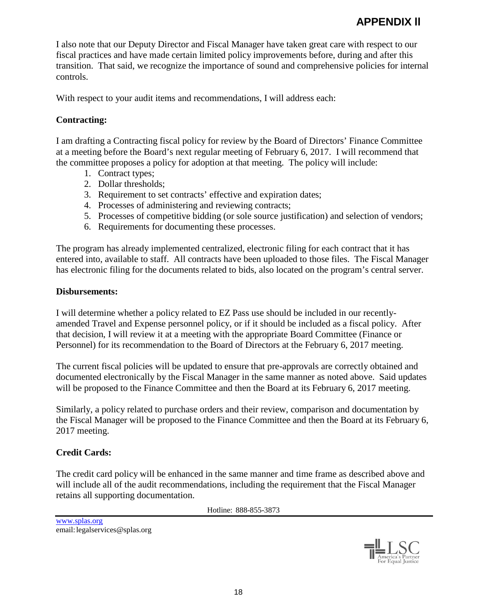I also note that our Deputy Director and Fiscal Manager have taken great care with respect to our fiscal practices and have made certain limited policy improvements before, during and after this transition. That said, we recognize the importance of sound and comprehensive policies for internal controls.

With respect to your audit items and recommendations, I will address each:

### **Contracting:**

I am drafting a Contracting fiscal policy for review by the Board of Directors' Finance Committee at a meeting before the Board's next regular meeting of February 6, 2017. I will recommend that the committee proposes a policy for adoption at that meeting. The policy will include:

- 1. Contract types;
- 2. Dollar thresholds;
- 3. Requirement to set contracts' effective and expiration dates;
- 4. Processes of administering and reviewing contracts;
- 5. Processes of competitive bidding (or sole source justification) and selection of vendors;
- 6. Requirements for documenting these processes.

The program has already implemented centralized, electronic filing for each contract that it has entered into, available to staff. All contracts have been uploaded to those files. The Fiscal Manager has electronic filing for the documents related to bids, also located on the program's central server.

#### **Disbursements:**

I will determine whether a policy related to EZ Pass use should be included in our recentlyamended Travel and Expense personnel policy, or if it should be included as a fiscal policy. After that decision, I will review it at a meeting with the appropriate Board Committee (Finance or Personnel) for its recommendation to the Board of Directors at the February 6, 2017 meeting.

The current fiscal policies will be updated to ensure that pre-approvals are correctly obtained and documented electronically by the Fiscal Manager in the same manner as noted above. Said updates will be proposed to the Finance Committee and then the Board at its February 6, 2017 meeting.

Similarly, a policy related to purchase orders and their review, comparison and documentation by the Fiscal Manager will be proposed to the Finance Committee and then the Board at its February 6, 2017 meeting.

#### **Credit Cards:**

The credit card policy will be enhanced in the same manner and time frame as described above and will include all of the audit recommendations, including the requirement that the Fiscal Manager retains all supporting documentation.

Hotline: 888-855-3873

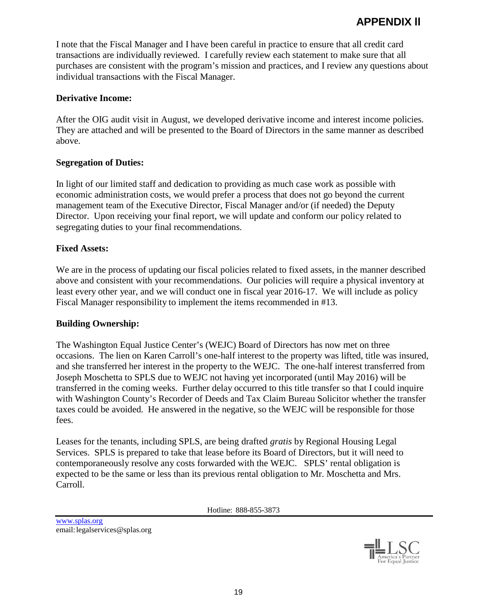I note that the Fiscal Manager and I have been careful in practice to ensure that all credit card transactions are individually reviewed. I carefully review each statement to make sure that all purchases are consistent with the program's mission and practices, and I review any questions about individual transactions with the Fiscal Manager.

#### **Derivative Income:**

After the OIG audit visit in August, we developed derivative income and interest income policies. They are attached and will be presented to the Board of Directors in the same manner as described above.

#### **Segregation of Duties:**

In light of our limited staff and dedication to providing as much case work as possible with economic administration costs, we would prefer a process that does not go beyond the current management team of the Executive Director, Fiscal Manager and/or (if needed) the Deputy Director. Upon receiving your final report, we will update and conform our policy related to segregating duties to your final recommendations.

#### **Fixed Assets:**

We are in the process of updating our fiscal policies related to fixed assets, in the manner described above and consistent with your recommendations. Our policies will require a physical inventory at least every other year, and we will conduct one in fiscal year 2016-17. We will include as policy Fiscal Manager responsibility to implement the items recommended in #13.

#### **Building Ownership:**

The Washington Equal Justice Center's (WEJC) Board of Directors has now met on three occasions. The lien on Karen Carroll's one-half interest to the property was lifted, title was insured, and she transferred her interest in the property to the WEJC. The one-half interest transferred from Joseph Moschetta to SPLS due to WEJC not having yet incorporated (until May 2016) will be transferred in the coming weeks. Further delay occurred to this title transfer so that I could inquire with Washington County's Recorder of Deeds and Tax Claim Bureau Solicitor whether the transfer taxes could be avoided. He answered in the negative, so the WEJC will be responsible for those fees.

Leases for the tenants, including SPLS, are being drafted *gratis* by Regional Housing Legal Services. SPLS is prepared to take that lease before its Board of Directors, but it will need to contemporaneously resolve any costs forwarded with the WEJC. SPLS' rental obligation is expected to be the same or less than its previous rental obligation to Mr. Moschetta and Mrs. Carroll.

Hotline: 888-855-3873

[www.splas.org](http://www.splas.org/) email: legalservices@splas.org